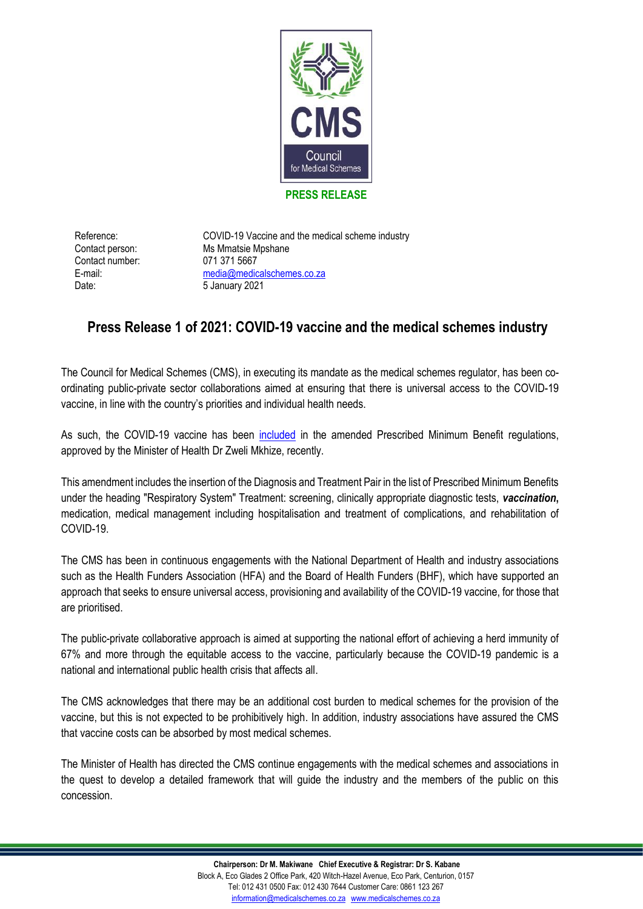

## **PRESS RELEASE**

Contact number: 071 371 5667 Date: 5 January 2021

Reference: COVID-19 Vaccine and the medical scheme industry Contact person: Ms Mmatsie Mpshane E-mail: [media@medicalschemes.co.za](mailto:media@medicalschemes.co.za)

## **Press Release 1 of 2021: COVID-19 vaccine and the medical schemes industry**

The Council for Medical Schemes (CMS), in executing its mandate as the medical schemes regulator, has been coordinating public-private sector collaborations aimed at ensuring that there is universal access to the COVID-19 vaccine, in line with the country's priorities and individual health needs.

As such, the COVID-19 vaccine has been [included](https://www.medicalschemes.co.za/wp-content/uploads/2021/01/COVID-gazette.pdf) in the amended Prescribed Minimum Benefit regulations, approved by the Minister of Health Dr Zweli Mkhize, recently.

This amendment includes the insertion of the Diagnosis and Treatment Pair in the list of Prescribed Minimum Benefits under the heading "Respiratory System" Treatment: screening, clinically appropriate diagnostic tests, *vaccination***,** medication, medical management including hospitalisation and treatment of complications, and rehabilitation of COVID-19.

The CMS has been in continuous engagements with the National Department of Health and industry associations such as the Health Funders Association (HFA) and the Board of Health Funders (BHF), which have supported an approach that seeks to ensure universal access, provisioning and availability of the COVID-19 vaccine, for those that are prioritised.

The public-private collaborative approach is aimed at supporting the national effort of achieving a herd immunity of 67% and more through the equitable access to the vaccine, particularly because the COVID-19 pandemic is a national and international public health crisis that affects all.

The CMS acknowledges that there may be an additional cost burden to medical schemes for the provision of the vaccine, but this is not expected to be prohibitively high. In addition, industry associations have assured the CMS that vaccine costs can be absorbed by most medical schemes.

The Minister of Health has directed the CMS continue engagements with the medical schemes and associations in the quest to develop a detailed framework that will guide the industry and the members of the public on this concession.